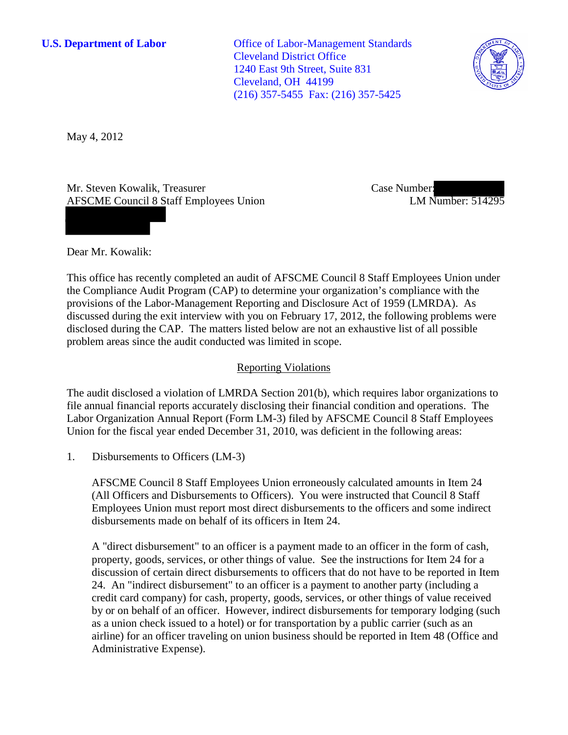**U.S. Department of Labor** Office of Labor-Management Standards Cleveland District Office 1240 East 9th Street, Suite 831 Cleveland, OH 44199 (216) 357-5455 Fax: (216) 357-5425



May 4, 2012

Mr. Steven Kowalik, Treasurer AFSCME Council 8 Staff Employees Union Case Number: LM Number: 514295

Dear Mr. Kowalik:

This office has recently completed an audit of AFSCME Council 8 Staff Employees Union under the Compliance Audit Program (CAP) to determine your organization's compliance with the provisions of the Labor-Management Reporting and Disclosure Act of 1959 (LMRDA). As discussed during the exit interview with you on February 17, 2012, the following problems were disclosed during the CAP. The matters listed below are not an exhaustive list of all possible problem areas since the audit conducted was limited in scope.

## Reporting Violations

The audit disclosed a violation of LMRDA Section 201(b), which requires labor organizations to file annual financial reports accurately disclosing their financial condition and operations. The Labor Organization Annual Report (Form LM-3) filed by AFSCME Council 8 Staff Employees Union for the fiscal year ended December 31, 2010, was deficient in the following areas:

1. Disbursements to Officers (LM-3)

AFSCME Council 8 Staff Employees Union erroneously calculated amounts in Item 24 (All Officers and Disbursements to Officers). You were instructed that Council 8 Staff Employees Union must report most direct disbursements to the officers and some indirect disbursements made on behalf of its officers in Item 24.

A "direct disbursement" to an officer is a payment made to an officer in the form of cash, property, goods, services, or other things of value. See the instructions for Item 24 for a discussion of certain direct disbursements to officers that do not have to be reported in Item 24. An "indirect disbursement" to an officer is a payment to another party (including a credit card company) for cash, property, goods, services, or other things of value received by or on behalf of an officer. However, indirect disbursements for temporary lodging (such as a union check issued to a hotel) or for transportation by a public carrier (such as an airline) for an officer traveling on union business should be reported in Item 48 (Office and Administrative Expense).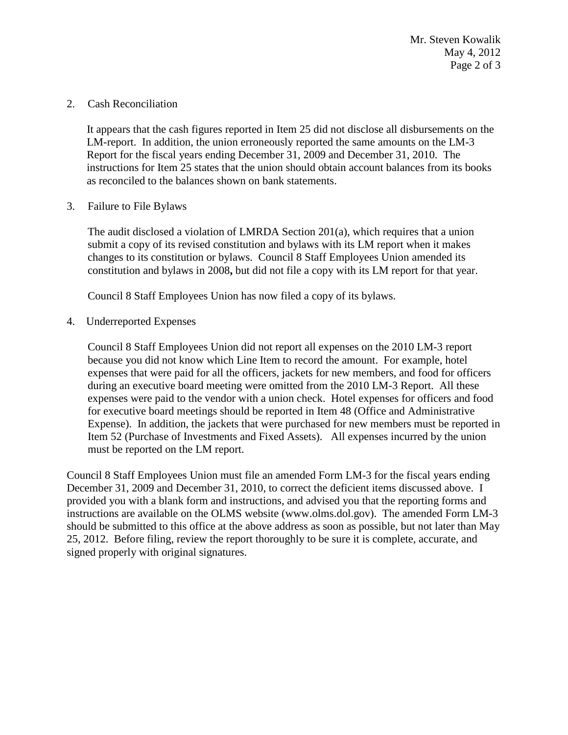Mr. Steven Kowalik May 4, 2012 Page 2 of 3

2. Cash Reconciliation

It appears that the cash figures reported in Item 25 did not disclose all disbursements on the LM-report. In addition, the union erroneously reported the same amounts on the LM-3 Report for the fiscal years ending December 31, 2009 and December 31, 2010. The instructions for Item 25 states that the union should obtain account balances from its books as reconciled to the balances shown on bank statements.

3. Failure to File Bylaws

The audit disclosed a violation of LMRDA Section 201(a), which requires that a union submit a copy of its revised constitution and bylaws with its LM report when it makes changes to its constitution or bylaws. Council 8 Staff Employees Union amended its constitution and bylaws in 2008**,** but did not file a copy with its LM report for that year.

Council 8 Staff Employees Union has now filed a copy of its bylaws.

4. Underreported Expenses

Council 8 Staff Employees Union did not report all expenses on the 2010 LM-3 report because you did not know which Line Item to record the amount. For example, hotel expenses that were paid for all the officers, jackets for new members, and food for officers during an executive board meeting were omitted from the 2010 LM-3 Report. All these expenses were paid to the vendor with a union check. Hotel expenses for officers and food for executive board meetings should be reported in Item 48 (Office and Administrative Expense). In addition, the jackets that were purchased for new members must be reported in Item 52 (Purchase of Investments and Fixed Assets). All expenses incurred by the union must be reported on the LM report.

Council 8 Staff Employees Union must file an amended Form LM-3 for the fiscal years ending December 31, 2009 and December 31, 2010, to correct the deficient items discussed above. I provided you with a blank form and instructions, and advised you that the reporting forms and instructions are available on the OLMS website (www.olms.dol.gov). The amended Form LM-3 should be submitted to this office at the above address as soon as possible, but not later than May 25, 2012. Before filing, review the report thoroughly to be sure it is complete, accurate, and signed properly with original signatures.